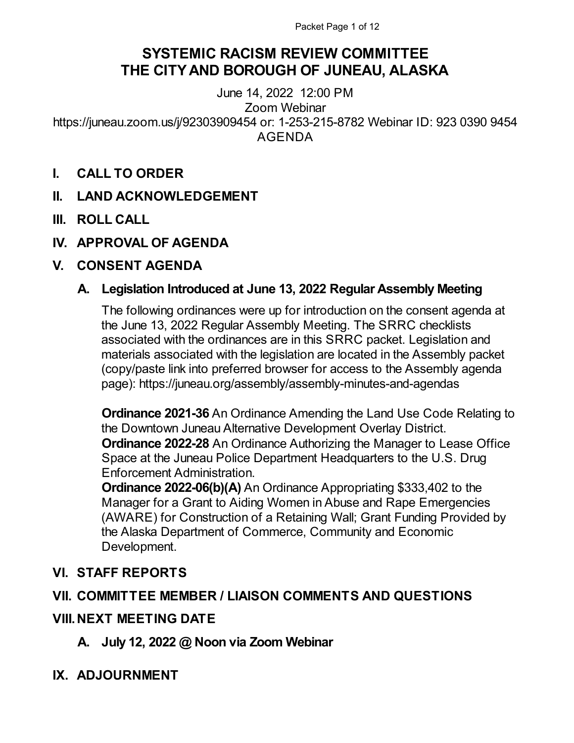# **SYSTEMIC RACISM REVIEW COMMITTEE THE CITYAND BOROUGH OF JUNEAU, ALASKA**

June 14, 2022 12:00 PM Zoom Webinar https://juneau.zoom.us/j/92303909454 or: 1-253-215-8782 Webinar ID: 923 0390 9454 AGENDA

- **I. CALL TO ORDER**
- **II. LAND ACKNOWLEDGEMENT**
- **III. ROLL CALL**
- **IV. APPROVAL OF AGENDA**

# **V. CONSENT AGENDA**

# **A. Legislation Introduced at June 13, 2022 Regular Assembly Meeting**

The following ordinances were up for introduction on the consent agenda at the June 13, 2022 Regular Assembly Meeting. The SRRC checklists associated with the ordinances are in this SRRC packet. Legislation and materials associated with the legislation are located in the Assembly packet (copy/paste link into preferred browser for access to the Assembly agenda page): https://juneau.org/assembly/assembly-minutes-and-agendas

**Ordinance 2021-36** An Ordinance Amending the Land Use Code Relating to the Downtown Juneau Alternative Development Overlay District. **Ordinance 2022-28** An Ordinance Authorizing the Manager to Lease Office Space at the Juneau Police Department Headquarters to the U.S. Drug Enforcement Administration.

**Ordinance 2022-06(b)(A)** An Ordinance Appropriating \$333,402 to the Manager for a Grant to Aiding Women in Abuse and Rape Emergencies (AWARE) for Construction of a Retaining Wall; Grant Funding Provided by the Alaska Department of Commerce, Community and Economic Development.

# **VI. STAFF REPORTS**

# **VII. COMMITTEE MEMBER / LIAISON COMMENTS AND QUESTIONS**

# **VIII.NEXT MEETING DATE**

**A. July 12, 2022 @ Noon via Zoom Webinar**

# **IX. ADJOURNMENT**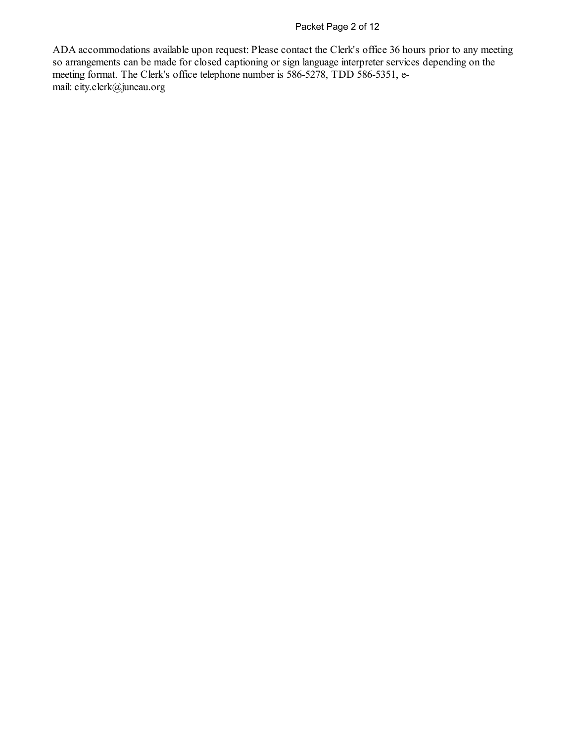## Packet Page 2 of 12

ADA accommodations available upon request: Please contact the Clerk's office 36 hours prior to any meeting so arrangements can be made for closed captioning or sign language interpreter services depending on the meeting format. The Clerk's office telephone number is 586-5278, TDD 586-5351, email:city.clerk@juneau.org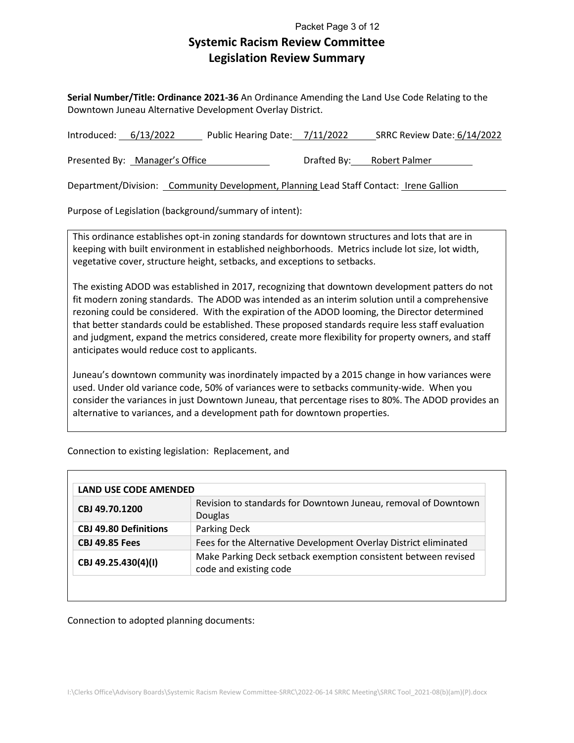## **Systemic Racism Review Committee Legislation Review Summary** Packet Page 3 of 12

**Serial Number/Title: Ordinance 2021-36** An Ordinance Amending the Land Use Code Relating to the Downtown Juneau Alternative Development Overlay District.

| Introduced: $6/13/2022$ |                                | Public Hearing Date: 7/11/2022 | SRRC Review Date: 6/14/2022 |
|-------------------------|--------------------------------|--------------------------------|-----------------------------|
|                         | Presented By: Manager's Office |                                | Drafted By: Robert Palmer   |

Department/Division: Community Development, Planning Lead Staff Contact: Irene Gallion

Purpose of Legislation (background/summary of intent):

This ordinance establishes opt-in zoning standards for downtown structures and lots that are in keeping with built environment in established neighborhoods. Metrics include lot size, lot width, vegetative cover, structure height, setbacks, and exceptions to setbacks.

The existing ADOD was established in 2017, recognizing that downtown development patters do not fit modern zoning standards. The ADOD was intended as an interim solution until a comprehensive rezoning could be considered. With the expiration of the ADOD looming, the Director determined that better standards could be established. These proposed standards require less staff evaluation and judgment, expand the metrics considered, create more flexibility for property owners, and staff anticipates would reduce cost to applicants.

Juneau's downtown community was inordinately impacted by a 2015 change in how variances were used. Under old variance code, 50% of variances were to setbacks community-wide. When you consider the variances in just Downtown Juneau, that percentage rises to 80%. The ADOD provides an alternative to variances, and a development path for downtown properties.

Connection to existing legislation: Replacement, and

|                              | LAND USE CODE AMENDED                                                                    |  |  |  |  |  |  |  |  |
|------------------------------|------------------------------------------------------------------------------------------|--|--|--|--|--|--|--|--|
| CBJ 49.70.1200               | Revision to standards for Downtown Juneau, removal of Downtown<br>Douglas                |  |  |  |  |  |  |  |  |
| <b>CBJ 49.80 Definitions</b> | Parking Deck                                                                             |  |  |  |  |  |  |  |  |
| <b>CBJ 49.85 Fees</b>        | Fees for the Alternative Development Overlay District eliminated                         |  |  |  |  |  |  |  |  |
| CBJ 49.25.430(4)(I)          | Make Parking Deck setback exemption consistent between revised<br>code and existing code |  |  |  |  |  |  |  |  |

Connection to adopted planning documents: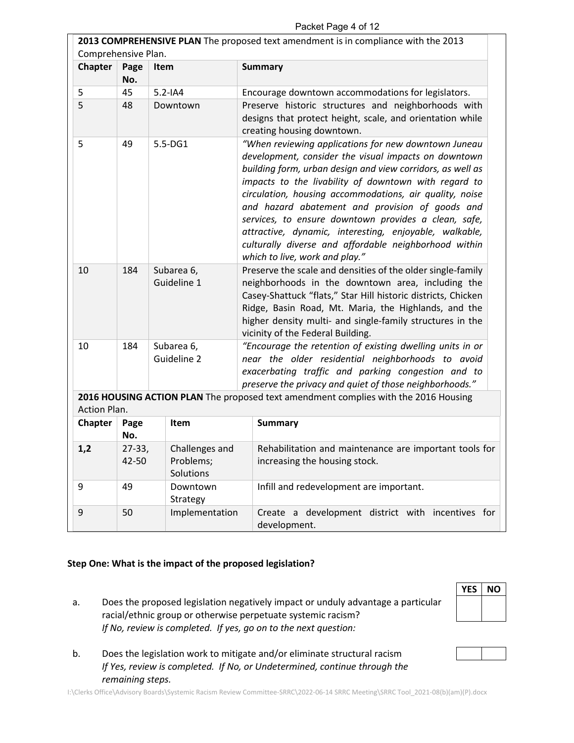| Packet Page 4 of 12 |  |  |
|---------------------|--|--|
|---------------------|--|--|

|                     | 2013 COMPREHENSIVE PLAN The proposed text amendment is in compliance with the 2013 |      |                                          |                                                                                                                                                                                                                                                                                                                                                                                                                                                                                                                                                               |  |  |  |
|---------------------|------------------------------------------------------------------------------------|------|------------------------------------------|---------------------------------------------------------------------------------------------------------------------------------------------------------------------------------------------------------------------------------------------------------------------------------------------------------------------------------------------------------------------------------------------------------------------------------------------------------------------------------------------------------------------------------------------------------------|--|--|--|
| Comprehensive Plan. |                                                                                    |      |                                          |                                                                                                                                                                                                                                                                                                                                                                                                                                                                                                                                                               |  |  |  |
| <b>Chapter</b>      | Page<br>No.                                                                        | Item |                                          | <b>Summary</b>                                                                                                                                                                                                                                                                                                                                                                                                                                                                                                                                                |  |  |  |
| 5                   | 45                                                                                 |      | $5.2 - IA4$                              | Encourage downtown accommodations for legislators.                                                                                                                                                                                                                                                                                                                                                                                                                                                                                                            |  |  |  |
| 5                   | 48                                                                                 |      | Downtown                                 | Preserve historic structures and neighborhoods with<br>designs that protect height, scale, and orientation while<br>creating housing downtown.                                                                                                                                                                                                                                                                                                                                                                                                                |  |  |  |
| 5                   | 49                                                                                 |      | 5.5-DG1                                  | "When reviewing applications for new downtown Juneau<br>development, consider the visual impacts on downtown<br>building form, urban design and view corridors, as well as<br>impacts to the livability of downtown with regard to<br>circulation, housing accommodations, air quality, noise<br>and hazard abatement and provision of goods and<br>services, to ensure downtown provides a clean, safe,<br>attractive, dynamic, interesting, enjoyable, walkable,<br>culturally diverse and affordable neighborhood within<br>which to live, work and play." |  |  |  |
| 10                  | 184                                                                                |      | Subarea 6,<br>Guideline 1                | Preserve the scale and densities of the older single-family<br>neighborhoods in the downtown area, including the<br>Casey-Shattuck "flats," Star Hill historic districts, Chicken<br>Ridge, Basin Road, Mt. Maria, the Highlands, and the<br>higher density multi- and single-family structures in the<br>vicinity of the Federal Building.                                                                                                                                                                                                                   |  |  |  |
| 10                  | 184                                                                                |      | Subarea 6,<br>Guideline 2                | "Encourage the retention of existing dwelling units in or<br>near the older residential neighborhoods to avoid<br>exacerbating traffic and parking congestion and to<br>preserve the privacy and quiet of those neighborhoods."                                                                                                                                                                                                                                                                                                                               |  |  |  |
| Action Plan.        |                                                                                    |      |                                          | 2016 HOUSING ACTION PLAN The proposed text amendment complies with the 2016 Housing                                                                                                                                                                                                                                                                                                                                                                                                                                                                           |  |  |  |
| <b>Chapter</b>      | Page<br>No.                                                                        |      | Item                                     | <b>Summary</b>                                                                                                                                                                                                                                                                                                                                                                                                                                                                                                                                                |  |  |  |
| 1,2                 | $27 - 33,$<br>42-50                                                                |      | Challenges and<br>Problems;<br>Solutions | Rehabilitation and maintenance are important tools for<br>increasing the housing stock.                                                                                                                                                                                                                                                                                                                                                                                                                                                                       |  |  |  |
| 9                   | 49                                                                                 |      | Downtown<br>Strategy                     | Infill and redevelopment are important.                                                                                                                                                                                                                                                                                                                                                                                                                                                                                                                       |  |  |  |
| 9                   | 50                                                                                 |      | Implementation                           | Create a development district with incentives for<br>development.                                                                                                                                                                                                                                                                                                                                                                                                                                                                                             |  |  |  |

#### **Step One: What is the impact of the proposed legislation?**

a. Does the proposed legislation negatively impact or unduly advantage a particular racial/ethnic group or otherwise perpetuate systemic racism? *If No, review is completed. If yes, go on to the next question:*

| YES | NΟ |
|-----|----|
|     |    |
|     |    |

b. Does the legislation work to mitigate and/or eliminate structural racism *If Yes, review is completed. If No, or Undetermined, continue through the remaining steps.*

I:\Clerks Office\Advisory Boards\Systemic Racism Review Committee-SRRC\2022-06-14 SRRC Meeting\SRRC Tool\_2021-08(b)(am)(P).docx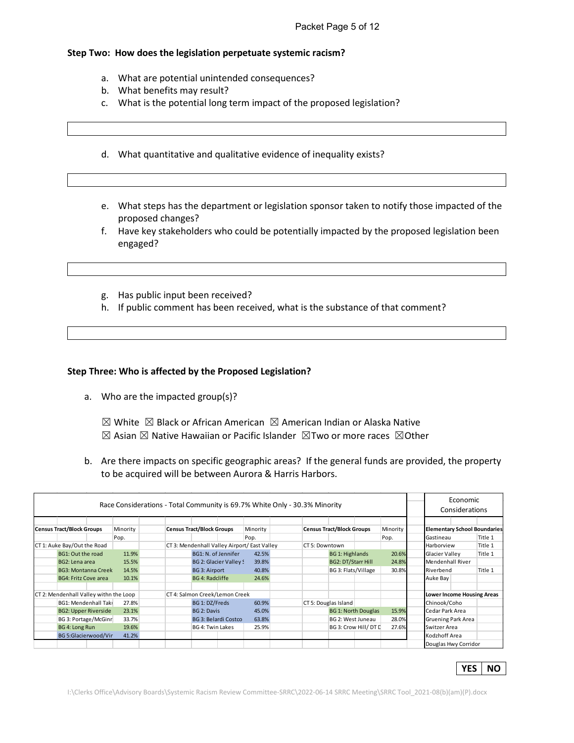## **Step Two: How does the legislation perpetuate systemic racism?**

- a. What are potential unintended consequences?
- b. What benefits may result?
- c. What is the potential long term impact of the proposed legislation?
- d. What quantitative and qualitative evidence of inequality exists?
- e. What steps has the department or legislation sponsor taken to notify those impacted of the proposed changes?
- f. Have key stakeholders who could be potentially impacted by the proposed legislation been engaged?
- g. Has public input been received?
- h. If public comment has been received, what is the substance of that comment?

#### **Step Three: Who is affected by the Proposed Legislation?**

a. Who are the impacted group(s)?

 $\boxtimes$  White  $\boxtimes$  Black or African American  $\boxtimes$  American Indian or Alaska Native  $\boxtimes$  Asian  $\boxtimes$  Native Hawaiian or Pacific Islander  $\boxtimes$ Two or more races  $\boxtimes$ Other

b. Are there impacts on specific geographic areas? If the general funds are provided, the property to be acquired will be between Aurora & Harris Harbors.

|                                        |          |                                  |                                |                                              | Race Considerations - Total Community is 69.7% White Only - 30.3% Minority |                           |                            |          |                         | Economic<br>Considerations        |                                     |
|----------------------------------------|----------|----------------------------------|--------------------------------|----------------------------------------------|----------------------------------------------------------------------------|---------------------------|----------------------------|----------|-------------------------|-----------------------------------|-------------------------------------|
|                                        |          |                                  |                                |                                              |                                                                            |                           |                            |          |                         |                                   |                                     |
| <b>Census Tract/Block Groups</b>       | Minority | <b>Census Tract/Block Groups</b> |                                | Minority                                     | <b>Census Tract/Block Groups</b>                                           |                           |                            | Minority |                         |                                   | <b>Elementary School Boundaries</b> |
|                                        | Pop.     |                                  |                                | Pop.                                         |                                                                            |                           |                            | Pop.     | Gastineau               |                                   | Title 1                             |
| CT 1: Auke Bay/Out the Road            |          |                                  |                                | CT 3: Mendenhall Valley Airport/ East Valley | CT 5: Downtown                                                             |                           |                            |          | Harborview              |                                   | Title 1                             |
| BG1: Out the road                      | 11.9%    | BG1: N. of Jennifer              |                                | 42.5%                                        |                                                                            | <b>BG 1: Highlands</b>    |                            | 20.6%    | Glacier Valley          |                                   | Title 1                             |
| BG2: Lena area                         | 15.5%    |                                  | BG 2: Glacier Valley S         | 39.8%                                        |                                                                            | <b>BG2: DT/Starr Hill</b> |                            | 24.8%    | <b>Mendenhall River</b> |                                   |                                     |
| <b>BG3: Montanna Creek</b>             | 14.5%    | <b>BG 3: Airport</b>             |                                | 40.8%                                        |                                                                            | BG 3: Flats/Village       |                            | 30.8%    | Riverbend               |                                   | Title 1                             |
| <b>BG4: Fritz Cove area</b>            | 10.1%    | <b>BG 4: Radcliffe</b>           |                                | 24.6%                                        |                                                                            |                           |                            |          | Auke Bay                |                                   |                                     |
|                                        |          |                                  |                                |                                              |                                                                            |                           |                            |          |                         |                                   |                                     |
| CT 2: Mendenhall Valley withn the Loop |          |                                  | CT 4: Salmon Creek/Lemon Creek |                                              |                                                                            |                           |                            |          |                         | <b>Lower Income Housing Areas</b> |                                     |
| <b>BG1: Mendenhall Taki</b>            | 27.8%    | BG 1: DZ/Freds                   |                                | 60.9%                                        | CT 5: Douglas Island                                                       |                           |                            |          | Chinook/Coho            |                                   |                                     |
| <b>BG2: Upper Riverside</b>            | 23.1%    | BG 2: Davis                      |                                | 45.0%                                        |                                                                            |                           | <b>BG 1: North Douglas</b> | 15.9%    | Cedar Park Area         |                                   |                                     |
| BG 3: Portage/McGinr                   | 33.7%    |                                  | <b>BG 3: Belardi Costco</b>    | 63.8%                                        |                                                                            |                           | BG 2: West Juneau          | 28.0%    |                         | <b>Gruening Park Area</b>         |                                     |
| BG 4: Long Run                         | 19.6%    | BG 4: Twin Lakes                 |                                | 25.9%                                        |                                                                            |                           | BG 3: Crow Hill/DT D       | 27.6%    | Switzer Area            |                                   |                                     |
| BG 5:Glacierwood/Vir                   | 41.2%    |                                  |                                |                                              |                                                                            |                           |                            |          | Kodzhoff Area           |                                   |                                     |
|                                        |          |                                  |                                |                                              |                                                                            |                           |                            |          |                         | Douglas Hwy Corridor              |                                     |

|--|--|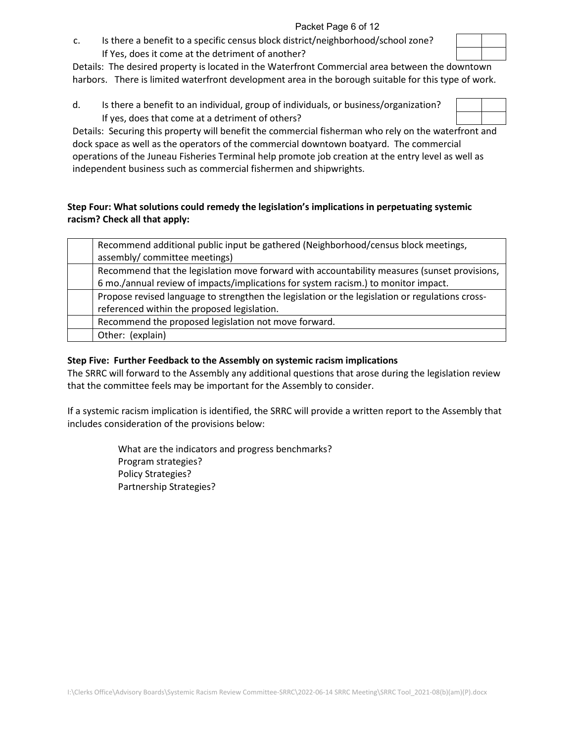c. Is there a benefit to a specific census block district/neighborhood/school zone? If Yes, does it come at the detriment of another?

Details: The desired property is located in the Waterfront Commercial area between the downtown harbors. There is limited waterfront development area in the borough suitable for this type of work.

d. Is there a benefit to an individual, group of individuals, or business/organization? If yes, does that come at a detriment of others?

Details: Securing this property will benefit the commercial fisherman who rely on the waterfront and dock space as well as the operators of the commercial downtown boatyard. The commercial operations of the Juneau Fisheries Terminal help promote job creation at the entry level as well as independent business such as commercial fishermen and shipwrights.

## **Step Four: What solutions could remedy the legislation's implications in perpetuating systemic racism? Check all that apply:**

| Recommend additional public input be gathered (Neighborhood/census block meetings,              |
|-------------------------------------------------------------------------------------------------|
| assembly/committee meetings)                                                                    |
| Recommend that the legislation move forward with accountability measures (sunset provisions,    |
| 6 mo./annual review of impacts/implications for system racism.) to monitor impact.              |
| Propose revised language to strengthen the legislation or the legislation or regulations cross- |
| referenced within the proposed legislation.                                                     |
| Recommend the proposed legislation not move forward.                                            |
| Other: (explain)                                                                                |

## **Step Five: Further Feedback to the Assembly on systemic racism implications**

The SRRC will forward to the Assembly any additional questions that arose during the legislation review that the committee feels may be important for the Assembly to consider.

If a systemic racism implication is identified, the SRRC will provide a written report to the Assembly that includes consideration of the provisions below:

> What are the indicators and progress benchmarks? Program strategies? Policy Strategies? Partnership Strategies?

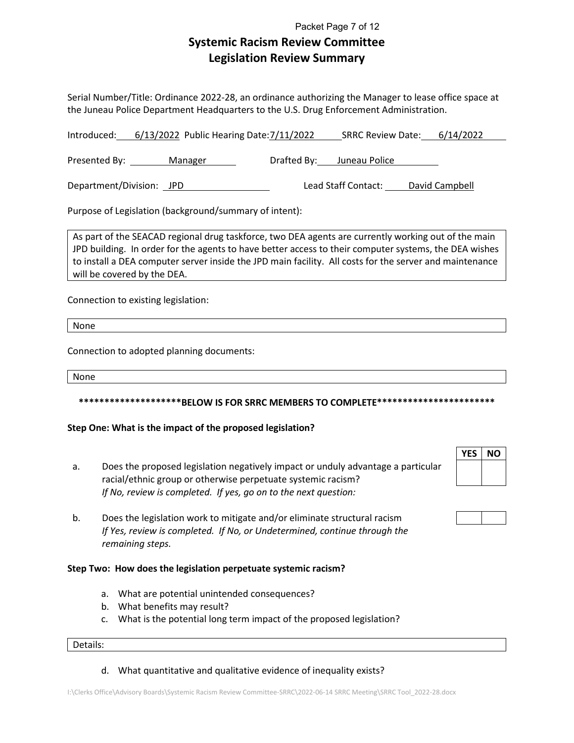## **Systemic Racism Review Committee Legislation Review Summary** Packet Page 7 of 12

Serial Number/Title: Ordinance 2022-28, an ordinance authorizing the Manager to lease office space at the Juneau Police Department Headquarters to the U.S. Drug Enforcement Administration.

| Introduced: 6/13/2022 Public Hearing Date: 7/11/2022   | SRRC Review Date: 6/14/2022                                                                                |
|--------------------------------------------------------|------------------------------------------------------------------------------------------------------------|
| Presented By:<br>Manager                               | Drafted By: Juneau Police                                                                                  |
| Department/Division: JPD                               | Lead Staff Contact: David Campbell                                                                         |
| Purpose of Legislation (background/summary of intent): |                                                                                                            |
|                                                        | $\Box$ As part of the SEACAD regional drug taskforce, two DEA agents are currently working out of the main |

ug taskforce, two DEA agents are currently wor JPD building. In order for the agents to have better access to their computer systems, the DEA wishes to install a DEA computer server inside the JPD main facility. All costs for the server and maintenance will be covered by the DEA.

Connection to existing legislation:

None

Connection to adopted planning documents:

None

#### **\*\*\*\*\*\*\*\*\*\*\*\*\*\*\*\*\*\*\*\*BELOW IS FOR SRRC MEMBERS TO COMPLETE\*\*\*\*\*\*\*\*\*\*\*\*\*\*\*\*\*\*\*\*\*\*\***

#### **Step One: What is the impact of the proposed legislation?**

- a. Does the proposed legislation negatively impact or unduly advantage a particular racial/ethnic group or otherwise perpetuate systemic racism? *If No, review is completed. If yes, go on to the next question:*
- b. Does the legislation work to mitigate and/or eliminate structural racism *If Yes, review is completed. If No, or Undetermined, continue through the remaining steps.*

#### **Step Two: How does the legislation perpetuate systemic racism?**

- a. What are potential unintended consequences?
- b. What benefits may result?
- c. What is the potential long term impact of the proposed legislation?

#### Details:

d. What quantitative and qualitative evidence of inequality exists?

# **YES NO**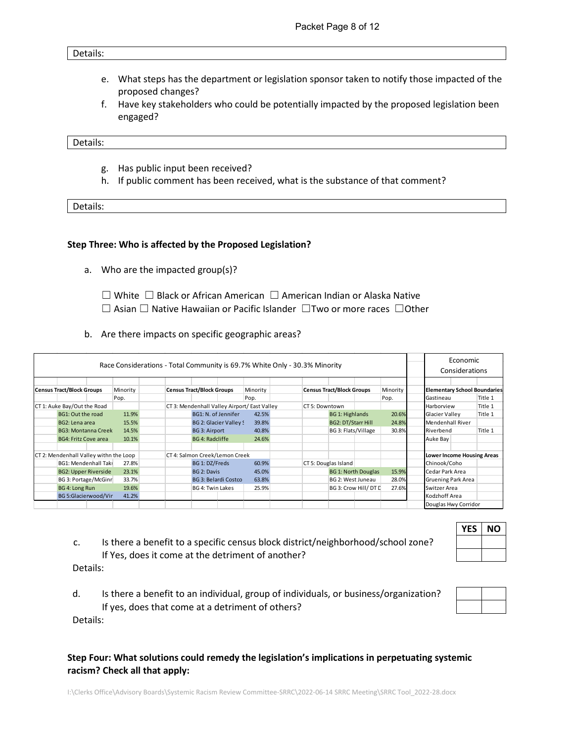#### Details:

- e. What steps has the department or legislation sponsor taken to notify those impacted of the proposed changes?
- f. Have key stakeholders who could be potentially impacted by the proposed legislation been engaged?

Details:

- g. Has public input been received?
- h. If public comment has been received, what is the substance of that comment?

Details:

#### **Step Three: Who is affected by the Proposed Legislation?**

- a. Who are the impacted group(s)?
	- ☐ White ☐ Black or African American ☐ American Indian or Alaska Native ☐ Asian ☐ Native Hawaiian or Pacific Islander ☐Two or more races ☐Other
- b. Are there impacts on specific geographic areas?

| Race Considerations - Total Community is 69.7% White Only - 30.3% Minority |                                        |  |          |                                  |                        |                                |                                              | Economic<br>Considerations       |                           |                            |          |            |                                     |         |
|----------------------------------------------------------------------------|----------------------------------------|--|----------|----------------------------------|------------------------|--------------------------------|----------------------------------------------|----------------------------------|---------------------------|----------------------------|----------|------------|-------------------------------------|---------|
|                                                                            |                                        |  |          |                                  |                        |                                |                                              |                                  |                           |                            |          |            |                                     |         |
|                                                                            | <b>Census Tract/Block Groups</b>       |  | Minority | <b>Census Tract/Block Groups</b> |                        |                                | Minority                                     | <b>Census Tract/Block Groups</b> |                           |                            | Minority |            | <b>Elementary School Boundaries</b> |         |
|                                                                            |                                        |  | Pop.     |                                  |                        |                                | Pop.                                         |                                  |                           |                            | Pop.     | Gastineau  |                                     | Title 1 |
|                                                                            | CT 1: Auke Bay/Out the Road            |  |          |                                  |                        |                                | CT 3: Mendenhall Valley Airport/ East Valley | CT 5: Downtown                   |                           |                            |          | Harborview |                                     | Title 1 |
|                                                                            | BG1: Out the road                      |  | 11.9%    |                                  | BG1: N. of Jennifer    |                                | 42.5%                                        |                                  | <b>BG 1: Highlands</b>    |                            | 20.6%    |            | Glacier Valley                      | Title 1 |
|                                                                            | BG2: Lena area                         |  | 15.5%    |                                  |                        | BG 2: Glacier Valley !         | 39.8%                                        |                                  | <b>BG2: DT/Starr Hill</b> |                            | 24.8%    |            | <b>Mendenhall River</b>             |         |
|                                                                            | <b>BG3: Montanna Creek</b>             |  | 14.5%    |                                  | <b>BG 3: Airport</b>   |                                | 40.8%                                        |                                  | BG 3: Flats/Village       |                            | 30.8%    | Riverbend  |                                     | Title 1 |
|                                                                            | <b>BG4: Fritz Cove area</b>            |  | 10.1%    |                                  | <b>BG 4: Radcliffe</b> |                                | 24.6%                                        |                                  |                           |                            |          | Auke Bay   |                                     |         |
|                                                                            |                                        |  |          |                                  |                        |                                |                                              |                                  |                           |                            |          |            |                                     |         |
|                                                                            | CT 2: Mendenhall Valley withn the Loop |  |          |                                  |                        | CT 4: Salmon Creek/Lemon Creek |                                              |                                  |                           |                            |          |            | <b>Lower Income Housing Areas</b>   |         |
|                                                                            | BG1: Mendenhall Takı                   |  | 27.8%    |                                  | BG 1: DZ/Freds         |                                | 60.9%                                        | CT 5: Douglas Island             |                           |                            |          |            | Chinook/Coho                        |         |
|                                                                            | <b>BG2: Upper Riverside</b>            |  | 23.1%    |                                  | BG 2: Davis            |                                | 45.0%                                        |                                  |                           | <b>BG 1: North Douglas</b> | 15.9%    |            | Cedar Park Area                     |         |
|                                                                            | BG 3: Portage/McGinr                   |  | 33.7%    |                                  |                        | <b>BG 3: Belardi Costco</b>    | 63.8%                                        |                                  | BG 2: West Juneau         |                            | 28.0%    |            | <b>Gruening Park Area</b>           |         |
|                                                                            | BG 4: Long Run                         |  | 19.6%    |                                  | BG 4: Twin Lakes       |                                | 25.9%                                        |                                  |                           | BG 3: Crow Hill/DT D       | 27.6%    |            | Switzer Area                        |         |
|                                                                            | BG 5:Glacierwood/Vir                   |  | 41.2%    |                                  |                        |                                |                                              |                                  |                           |                            |          |            | Kodzhoff Area                       |         |
|                                                                            |                                        |  |          |                                  |                        |                                |                                              |                                  |                           |                            |          |            | Douglas Hwy Corridor                |         |

c. Is there a benefit to a specific census block district/neighborhood/school zone? If Yes, does it come at the detriment of another?

Details:

d. Is there a benefit to an individual, group of individuals, or business/organization? If yes, does that come at a detriment of others? Details:

## **Step Four: What solutions could remedy the legislation's implications in perpetuating systemic racism? Check all that apply:**

I:\Clerks Office\Advisory Boards\Systemic Racism Review Committee-SRRC\2022-06-14 SRRC Meeting\SRRC Tool\_2022-28.docx

| YES | NΟ |
|-----|----|
|     |    |
|     |    |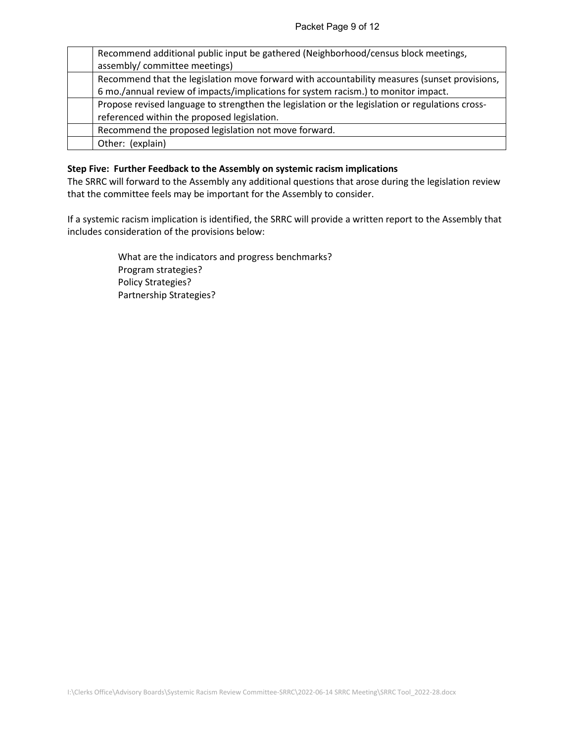| Recommend additional public input be gathered (Neighborhood/census block meetings,              |
|-------------------------------------------------------------------------------------------------|
| assembly/committee meetings)                                                                    |
| Recommend that the legislation move forward with accountability measures (sunset provisions,    |
| 6 mo./annual review of impacts/implications for system racism.) to monitor impact.              |
| Propose revised language to strengthen the legislation or the legislation or regulations cross- |
| referenced within the proposed legislation.                                                     |
| Recommend the proposed legislation not move forward.                                            |
| Other: (explain)                                                                                |

#### **Step Five: Further Feedback to the Assembly on systemic racism implications**

The SRRC will forward to the Assembly any additional questions that arose during the legislation review that the committee feels may be important for the Assembly to consider.

If a systemic racism implication is identified, the SRRC will provide a written report to the Assembly that includes consideration of the provisions below:

> What are the indicators and progress benchmarks? Program strategies? Policy Strategies? Partnership Strategies?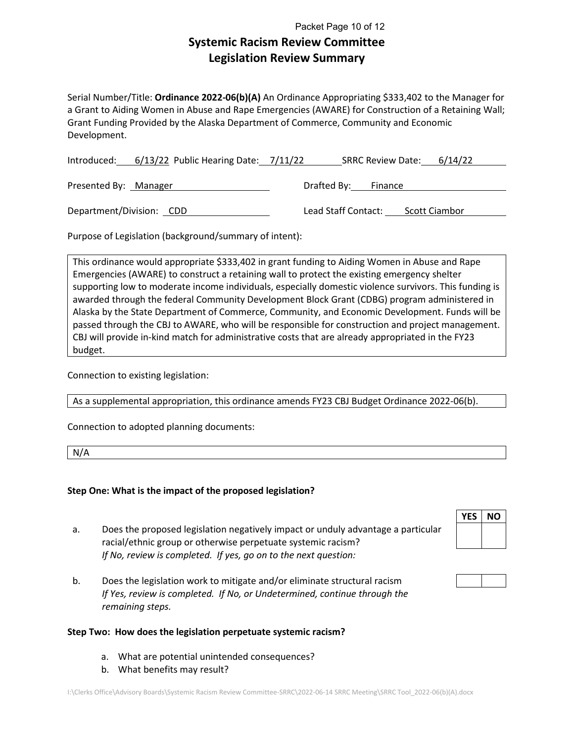## **Systemic Racism Review Committee Legislation Review Summary** Packet Page 10 of 12

Serial Number/Title: **Ordinance 2022-06(b)(A)** An Ordinance Appropriating \$333,402 to the Manager for a Grant to Aiding Women in Abuse and Rape Emergencies (AWARE) for Construction of a Retaining Wall; Grant Funding Provided by the Alaska Department of Commerce, Community and Economic Development.

|                          | Introduced: 6/13/22 Public Hearing Date: 7/11/22 |                     | SRRC Review Date: 6/14/22 |
|--------------------------|--------------------------------------------------|---------------------|---------------------------|
| Presented By: Manager    |                                                  | Drafted By: Finance |                           |
| Department/Division: CDD |                                                  | Lead Staff Contact: | <b>Scott Ciambor</b>      |
|                          |                                                  |                     |                           |

Purpose of Legislation (background/summary of intent):

This ordinance would appropriate \$333,402 in grant funding to Aiding Women in Abuse and Rape Emergencies (AWARE) to construct a retaining wall to protect the existing emergency shelter supporting low to moderate income individuals, especially domestic violence survivors. This funding is awarded through the federal Community Development Block Grant (CDBG) program administered in Alaska by the State Department of Commerce, Community, and Economic Development. Funds will be passed through the CBJ to AWARE, who will be responsible for construction and project management. CBJ will provide in-kind match for administrative costs that are already appropriated in the FY23 budget.

Connection to existing legislation:

As a supplemental appropriation, this ordinance amends FY23 CBJ Budget Ordinance 2022-06(b).

Connection to adopted planning documents:

N/A

## **Step One: What is the impact of the proposed legislation?**

- a. Does the proposed legislation negatively impact or unduly advantage a particular racial/ethnic group or otherwise perpetuate systemic racism? *If No, review is completed. If yes, go on to the next question:*
- b. Does the legislation work to mitigate and/or eliminate structural racism *If Yes, review is completed. If No, or Undetermined, continue through the remaining steps.*

#### **Step Two: How does the legislation perpetuate systemic racism?**

- a. What are potential unintended consequences?
- b. What benefits may result?

# **YES NO**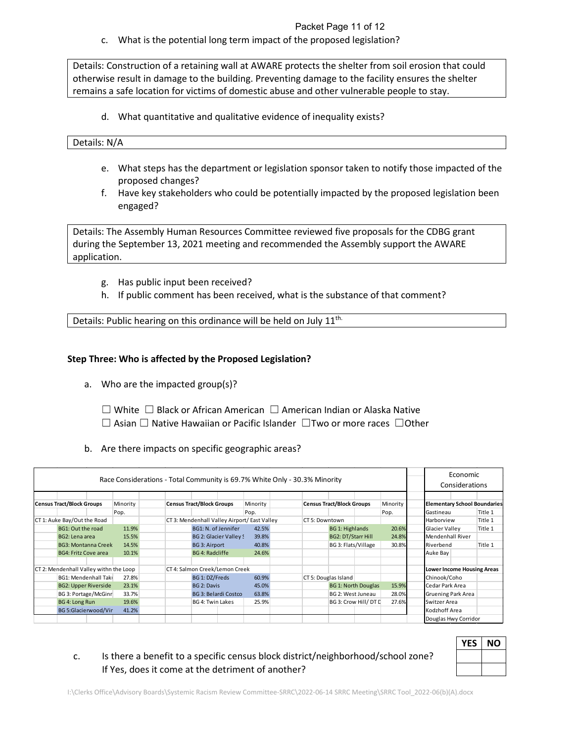Packet Page 11 of 12

c. What is the potential long term impact of the proposed legislation?

Details: Construction of a retaining wall at AWARE protects the shelter from soil erosion that could otherwise result in damage to the building. Preventing damage to the facility ensures the shelter remains a safe location for victims of domestic abuse and other vulnerable people to stay.

d. What quantitative and qualitative evidence of inequality exists?

#### Details: N/A

- e. What steps has the department or legislation sponsor taken to notify those impacted of the proposed changes?
- f. Have key stakeholders who could be potentially impacted by the proposed legislation been engaged?

Details: The Assembly Human Resources Committee reviewed five proposals for the CDBG grant during the September 13, 2021 meeting and recommended the Assembly support the AWARE application.

- g. Has public input been received?
- h. If public comment has been received, what is the substance of that comment?

Details: Public hearing on this ordinance will be held on July 11<sup>th.</sup>

## **Step Three: Who is affected by the Proposed Legislation?**

- a. Who are the impacted group(s)?
	- ☐ White ☐ Black or African American ☐ American Indian or Alaska Native
	- ☐ Asian ☐ Native Hawaiian or Pacific Islander ☐Two or more races ☐Other
- b. Are there impacts on specific geographic areas?

| Race Considerations - Total Community is 69.7% White Only - 30.3% Minority |                                        |  |          |  |                                  |                                | Economic<br>Considerations                   |                      |                                  |                            |          |                                   |  |                                     |
|----------------------------------------------------------------------------|----------------------------------------|--|----------|--|----------------------------------|--------------------------------|----------------------------------------------|----------------------|----------------------------------|----------------------------|----------|-----------------------------------|--|-------------------------------------|
|                                                                            | <b>Census Tract/Block Groups</b>       |  | Minority |  | <b>Census Tract/Block Groups</b> |                                | Minority                                     |                      | <b>Census Tract/Block Groups</b> |                            | Minority |                                   |  | <b>Elementary School Boundaries</b> |
|                                                                            |                                        |  | Pop.     |  |                                  |                                | Pop.                                         |                      |                                  |                            | Pop.     | Gastineau                         |  | Title 1                             |
|                                                                            | CT 1: Auke Bay/Out the Road            |  |          |  |                                  |                                | CT 3: Mendenhall Valley Airport/ East Valley | CT 5: Downtown       |                                  |                            |          | Harborview                        |  | Title 1                             |
|                                                                            | BG1: Out the road                      |  | 11.9%    |  | BG1: N. of Jennifer              |                                | 42.5%                                        |                      | BG 1: Highlands                  |                            | 20.6%    | Glacier Valley                    |  | Title 1                             |
|                                                                            | BG2: Lena area                         |  | 15.5%    |  |                                  | BG 2: Glacier Valley !         | 39.8%                                        |                      | <b>BG2: DT/Starr Hill</b>        |                            | 24.8%    | <b>Mendenhall River</b>           |  |                                     |
|                                                                            | <b>BG3: Montanna Creek</b>             |  | 14.5%    |  | <b>BG 3: Airport</b>             |                                | 40.8%                                        |                      | BG 3: Flats/Village              |                            | 30.8%    | Riverbend                         |  | Title 1                             |
|                                                                            | <b>BG4: Fritz Cove area</b>            |  | 10.1%    |  | <b>BG 4: Radcliffe</b>           |                                | 24.6%                                        |                      |                                  |                            |          | Auke Bay                          |  |                                     |
|                                                                            |                                        |  |          |  |                                  |                                |                                              |                      |                                  |                            |          |                                   |  |                                     |
|                                                                            | CT 2: Mendenhall Valley withn the Loop |  |          |  |                                  | CT 4: Salmon Creek/Lemon Creek |                                              |                      |                                  |                            |          | <b>Lower Income Housing Areas</b> |  |                                     |
|                                                                            | <b>BG1: Mendenhall Taki</b>            |  | 27.8%    |  | BG 1: DZ/Freds                   |                                | 60.9%                                        | CT 5: Douglas Island |                                  |                            |          | Chinook/Coho                      |  |                                     |
|                                                                            | <b>BG2: Upper Riverside</b>            |  | 23.1%    |  | BG 2: Davis                      |                                | 45.0%                                        |                      |                                  | <b>BG 1: North Douglas</b> | 15.9%    | Cedar Park Area                   |  |                                     |
|                                                                            | BG 3: Portage/McGinr                   |  | 33.7%    |  |                                  | <b>BG 3: Belardi Costco</b>    | 63.8%                                        |                      | BG 2: West Juneau                |                            | 28.0%    | <b>Gruening Park Area</b>         |  |                                     |
|                                                                            | BG 4: Long Run                         |  | 19.6%    |  | BG 4: Twin Lakes                 |                                | 25.9%                                        |                      |                                  | BG 3: Crow Hill/DT D       | 27.6%    | Switzer Area                      |  |                                     |
|                                                                            | BG 5:Glacierwood/Vir                   |  | 41.2%    |  |                                  |                                |                                              |                      |                                  |                            |          | Kodzhoff Area                     |  |                                     |
|                                                                            |                                        |  |          |  |                                  |                                |                                              |                      |                                  |                            |          | Douglas Hwy Corridor              |  |                                     |

| <b>YES</b> | <b>NO</b> |
|------------|-----------|
|            |           |
|            |           |

c. Is there a benefit to a specific census block district/neighborhood/school zone? If Yes, does it come at the detriment of another?

I:\Clerks Office\Advisory Boards\Systemic Racism Review Committee-SRRC\2022-06-14 SRRC Meeting\SRRC Tool\_2022-06(b)(A).docx